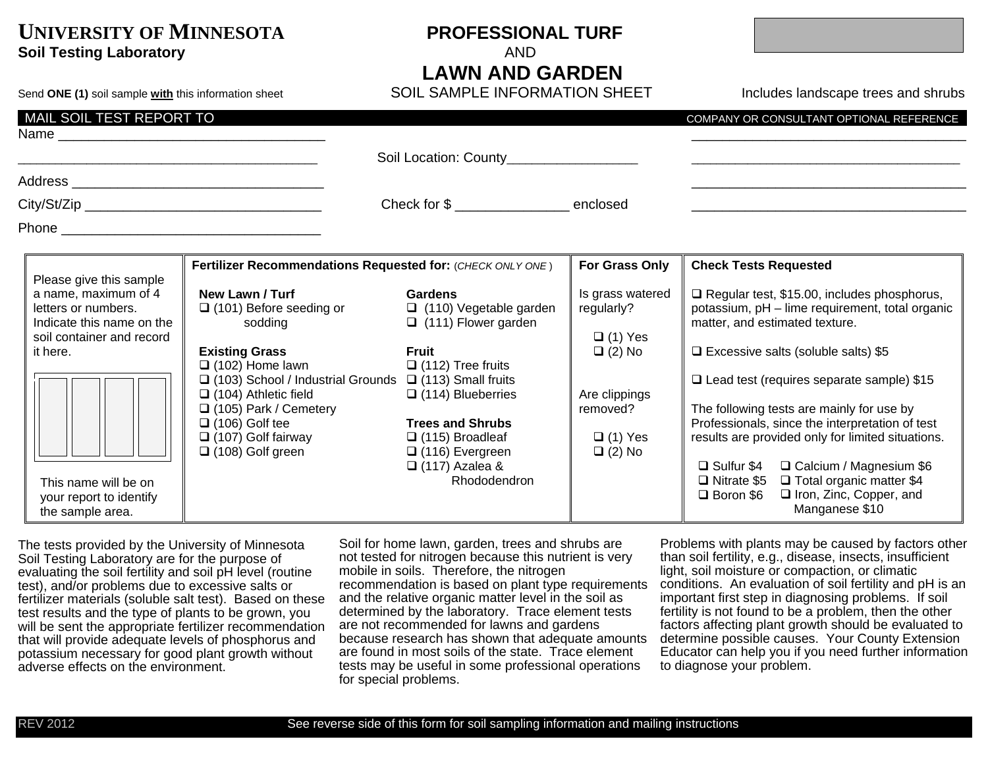# **UNIVERSITY OF MINNESOTA PROFESSIONAL TURF Soil Testing Laboratory AND AND**

**LAWN AND GARDEN**<br>SOIL SAMPLE INFORMATION SHEET

Send **ONE (1)** soil sample with this information sheet **SOIL SAMPLE INFORMATION SHEET Includes landscape trees and shrubs** 

| MAIL SOIL TEST REPORT TO<br>Name and the contract of the contract of the contract of the contract of the contract of the contract of the contract of the contract of the contract of the contract of the contract of the contract of the contract of the c |                                                                                                                                                                                      |                                                                                                                      |                                                  | COMPANY OR CONSULTANT OPTIONAL REFERENCE                                                                                                                                                                                                                                  |
|------------------------------------------------------------------------------------------------------------------------------------------------------------------------------------------------------------------------------------------------------------|--------------------------------------------------------------------------------------------------------------------------------------------------------------------------------------|----------------------------------------------------------------------------------------------------------------------|--------------------------------------------------|---------------------------------------------------------------------------------------------------------------------------------------------------------------------------------------------------------------------------------------------------------------------------|
|                                                                                                                                                                                                                                                            |                                                                                                                                                                                      | Soil Location: County_________________                                                                               |                                                  |                                                                                                                                                                                                                                                                           |
|                                                                                                                                                                                                                                                            |                                                                                                                                                                                      |                                                                                                                      |                                                  |                                                                                                                                                                                                                                                                           |
|                                                                                                                                                                                                                                                            |                                                                                                                                                                                      | Check for \$                                                                                                         |                                                  |                                                                                                                                                                                                                                                                           |
|                                                                                                                                                                                                                                                            |                                                                                                                                                                                      |                                                                                                                      |                                                  |                                                                                                                                                                                                                                                                           |
|                                                                                                                                                                                                                                                            | Fertilizer Recommendations Requested for: (CHECK ONLY ONE)                                                                                                                           |                                                                                                                      | For Grass Only                                   | <b>Check Tests Requested</b>                                                                                                                                                                                                                                              |
| Please give this sample<br>a name, maximum of 4<br>letters or numbers.<br>Indicate this name on the<br>soil container and record                                                                                                                           | New Lawn / Turf<br>$\Box$ (101) Before seeding or<br>sodding                                                                                                                         | <b>Gardens</b><br>$\Box$ (110) Vegetable garden<br>$\Box$ (111) Flower garden                                        | Is grass watered<br>regularly?<br>$\Box$ (1) Yes | $\Box$ Regular test, \$15.00, includes phosphorus,<br>potassium, pH - lime requirement, total organic<br>matter, and estimated texture.                                                                                                                                   |
| it here.                                                                                                                                                                                                                                                   | <b>Existing Grass</b><br>$\Box$ (102) Home lawn<br>$\Box$ (103) School / Industrial Grounds $\Box$ (113) Small fruits<br>$\Box$ (104) Athletic field<br>$\Box$ (105) Park / Cemetery | <b>Fruit</b><br>$\Box$ (112) Tree fruits<br>$\Box$ (114) Blueberries                                                 | $\Box$ (2) No<br>Are clippings<br>removed?       | $\Box$ Excessive salts (soluble salts) \$5<br>$\Box$ Lead test (requires separate sample) \$15<br>The following tests are mainly for use by                                                                                                                               |
| This name will be on<br>your report to identify<br>the sample area.                                                                                                                                                                                        | $\Box$ (106) Golf tee<br>$\Box$ (107) Golf fairway<br>$\Box$ (108) Golf green                                                                                                        | <b>Trees and Shrubs</b><br>$\Box$ (115) Broadleaf<br>$\Box$ (116) Evergreen<br>$\Box$ (117) Azalea &<br>Rhododendron | $\Box$ (1) Yes<br>$\Box$ (2) No                  | Professionals, since the interpretation of test<br>results are provided only for limited situations.<br>□ Sulfur \$4 □ Calcium / Magnesium \$6<br>$\Box$ Nitrate \$5 $\Box$ Total organic matter \$4<br>□ Iron, Zinc, Copper, and<br><b>□</b> Boron \$6<br>Manganese \$10 |

The tests provided by the University of Minnesota Soil Testing Laboratory are for the purpose of evaluating the soil fertility and soil pH level (routine test), and/or problems due to excessive salts or fertilizer materials (soluble salt test). Based on these test results and the type of plants to be grown, you will be sent the appropriate fertilizer recommendation that will provide adequate levels of phosphorus and potassium necessary for good plant growth without adverse effects on the environment.

Soil for home lawn, garden, trees and shrubs are not tested for nitrogen because this nutrient is very mobile in soils. Therefore, the nitrogen recommendation is based on plant type requirements and the relative organic matter level in the soil as determined by the laboratory. Trace element tests are not recommended for lawns and gardens because research has shown that adequate amounts are found in most soils of the state. Trace element tests may be useful in some professional operations for special problems.

Problems with plants may be caused by factors other than soil fertility, e.g., disease, insects, insufficient light, soil moisture or compaction, or climatic conditions. An evaluation of soil fertility and pH is an important first step in diagnosing problems. If soil fertility is not found to be a problem, then the other factors affecting plant growth should be evaluated to determine possible causes. Your County Extension Educator can help you if you need further information to diagnose your problem.